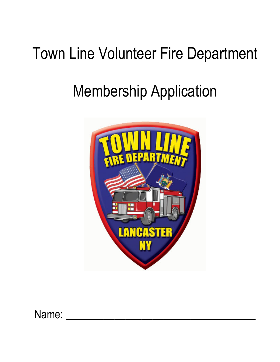## Town Line Volunteer Fire Department

# Membership Application



Name: \_\_\_\_\_\_\_\_\_\_\_\_\_\_\_\_\_\_\_\_\_\_\_\_\_\_\_\_\_\_\_\_\_\_\_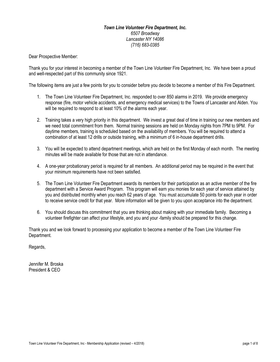### *Town Line Volunteer Fire Department, Inc. 6507 Broadway Lancaster NY 14086 (716) 683-0385*

Dear Prospective Member:

Thank you for your interest in becoming a member of the Town Line Volunteer Fire Department, Inc. We have been a proud and well-respected part of this community since 1921.

The following items are just a few points for you to consider before you decide to become a member of this Fire Department.

- 1. The Town Line Volunteer Fire Department, Inc. responded to over 850 alarms in 2019. We provide emergency response (fire, motor vehicle accidents, and emergency medical services) to the Towns of Lancaster and Alden. You will be required to respond to at least 10% of the alarms each year.
- 2. Training takes a very high priority in this department. We invest a great deal of time in training our new members and we need total commitment from them. Normal training sessions are held on Monday nights from 7PM to 9PM. For daytime members, training is scheduled based on the availability of members. You will be required to attend a combination of at least 12 drills or outside training, with a minimum of 6 in-house department drills.
- 3. You will be expected to attend department meetings, which are held on the first Monday of each month. The meeting minutes will be made available for those that are not in attendance.
- 4. A one-year probationary period is required for all members. An additional period may be required in the event that your minimum requirements have not been satisfied.
- 5. The Town Line Volunteer Fire Department awards its members for their participation as an active member of the fire department with a Service Award Program. This program will earn you monies for each year of service attained by you and distributed monthly when you reach 62 years of age. You must accumulate 50 points for each year in order to receive service credit for that year. More information will be given to you upon acceptance into the department.
- 6. You should discuss this commitment that you are thinking about making with your immediate family. Becoming a volunteer firefighter can affect your lifestyle, and you and your -family should be prepared for this change.

Thank you and we look forward to processing your application to become a member of the Town Line Volunteer Fire Department.

Regards,

Jennifer M. Broska President & CEO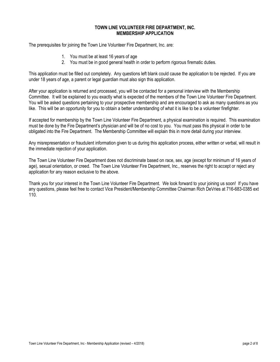#### **TOWN LINE VOLUNTEER FIRE DEPARTMENT, INC. MEMBERSHIP APPLICATION**

The prerequisites for joining the Town Line Volunteer Fire Department, Inc. are:

- 1. You must be at least 16 years of age
- 2. You must be in good general health in order to perform rigorous firematic duties.

This application must be filled out completely. Any questions left blank could cause the application to be rejected. If you are under 18 years of age, a parent or legal guardian must also sign this application.

After your application is returned and processed, you will be contacted for a personal interview with the Membership Committee. It will be explained to you exactly what is expected of the members of the Town Line Volunteer Fire Department. You will be asked questions pertaining to your prospective membership and are encouraged to ask as many questions as you like. This will be an opportunity for you to obtain a better understanding of what it is like to be a volunteer firefighter.

If accepted for membership by the Town Line Volunteer Fire Department, a physical examination is required. This examination must be done by the Fire Department's physician and will be of no cost to you. You must pass this physical in order to be obligated into the Fire Department. The Membership Committee will explain this in more detail during your interview.

Any misrepresentation or fraudulent information given to us during this application process, either written or verbal, will result in the immediate rejection of your application.

The Town Line Volunteer Fire Department does not discriminate based on race, sex, age (except for minimum of 16 years of age), sexual orientation, or creed. The Town Line Volunteer Fire Department, Inc., reserves the right to accept or reject any application for any reason exclusive to the above.

Thank you for your interest in the Town Line Volunteer Fire Department. We look forward to your joining us soon! If you have any questions, please feel free to contact Vice President/Membership Committee Chairman Rich DeVries at 716-683-0385 ext 110.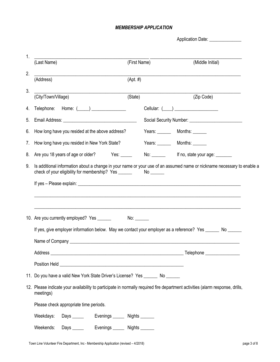## *MEMBERSHIP APPLICATION*

Application Date: \_\_\_\_\_\_\_\_\_\_\_\_\_\_\_

| $1_{-}$ | (Last Name)                                                                                                                                              | (First Name) | (Middle Initial)                           |
|---------|----------------------------------------------------------------------------------------------------------------------------------------------------------|--------------|--------------------------------------------|
| 2.      | <u> 1989 - Johann Stein, mars and de Britannich (b. 1989)</u><br>(Address)                                                                               | $(Apt. \#)$  |                                            |
| 3.      |                                                                                                                                                          |              |                                            |
|         | (City/Town/Village)                                                                                                                                      | (State)      | (Zip Code)                                 |
|         | 4. Telephone: Home: ( ) ______________                                                                                                                   |              | Cellular: $(\_\_)$                         |
| 5.      |                                                                                                                                                          |              |                                            |
| 6.      | How long have you resided at the above address?                                                                                                          |              | Years: _________ Months: _______           |
| 7.      | How long have you resided in New York State?                                                                                                             |              | Years: Months:                             |
| 8.      | Are you 18 years of age or older? Yes: _____                                                                                                             |              | No: ________ lf no, state your age: ______ |
|         |                                                                                                                                                          |              |                                            |
|         | 10. Are you currently employed? Yes ______<br>If yes, give employer information below. May we contact your employer as a reference? Yes ______ No ______ | No:          |                                            |
|         |                                                                                                                                                          |              |                                            |
|         |                                                                                                                                                          |              |                                            |
|         |                                                                                                                                                          |              |                                            |
|         | 11. Do you have a valid New York State Driver's License? Yes _______ No ______                                                                           |              |                                            |
|         | 12. Please indicate your availability to participate in normally required fire department activities (alarm response, drills,<br>meetings)               |              |                                            |
|         | Please check appropriate time periods.                                                                                                                   |              |                                            |
|         | Weekdays:<br>Days _______ Evenings ______ Nights ______                                                                                                  |              |                                            |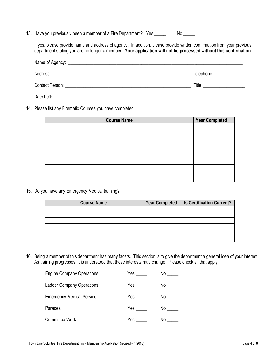13. Have you previously been a member of a Fire Department? Yes \_\_\_\_\_ No \_\_\_\_

If yes, please provide name and address of agency. In addition, please provide written confirmation from your previous department stating you are no longer a member. **Your application will not be processed without this confirmation.**

| Address:                               | Telephone: ______________ |
|----------------------------------------|---------------------------|
| <b>Contact Person: Contact Person:</b> | Title:                    |
| Date Left:                             |                           |

14. Please list any Firematic Courses you have completed:

| <b>Course Name</b> | <b>Year Completed</b> |
|--------------------|-----------------------|
|                    |                       |
|                    |                       |
|                    |                       |
|                    |                       |
|                    |                       |
|                    |                       |
|                    |                       |

15. Do you have any Emergency Medical training?

| <b>Course Name</b> | <b>Year Completed</b> | <b>Is Certification Current?</b> |
|--------------------|-----------------------|----------------------------------|
|                    |                       |                                  |
|                    |                       |                                  |
|                    |                       |                                  |
|                    |                       |                                  |
|                    |                       |                                  |
|                    |                       |                                  |

16. Being a member of this department has many facets. This section is to give the department a general idea of your interest. As training progresses, it is understood that these interests may change. Please check all that apply.

| <b>Engine Company Operations</b> | Yes | No  |
|----------------------------------|-----|-----|
| <b>Ladder Company Operations</b> | Yes | No  |
| <b>Emergency Medical Service</b> | Yes | No  |
| Parades                          | Yes | No. |
| Committee Work                   | Yes | No. |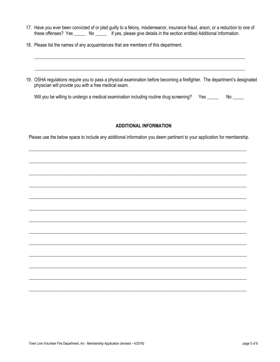17. Have you ever been convicted of or pled guilty to a felony, misdemeanor, insurance fraud, arson, or a reduction to one of these offenses? Yes \_\_\_\_\_ No \_\_\_\_\_ If yes, please give details in the section entitled Additional Information.

\_\_\_\_\_\_\_\_\_\_\_\_\_\_\_\_\_\_\_\_\_\_\_\_\_\_\_\_\_\_\_\_\_\_\_\_\_\_\_\_\_\_\_\_\_\_\_\_\_\_\_\_\_\_\_\_\_\_\_\_\_\_\_\_\_\_\_\_\_\_\_\_\_\_\_\_\_\_\_\_\_\_\_\_\_\_\_\_\_\_\_\_

\_\_\_\_\_\_\_\_\_\_\_\_\_\_\_\_\_\_\_\_\_\_\_\_\_\_\_\_\_\_\_\_\_\_\_\_\_\_\_\_\_\_\_\_\_\_\_\_\_\_\_\_\_\_\_\_\_\_\_\_\_\_\_\_\_\_\_\_\_\_\_\_\_\_\_\_\_\_\_\_\_\_\_\_\_\_\_\_\_\_\_\_

- 18. Please list the names of any acquaintances that are members of this department.
- 19. OSHA regulations require you to pass a physical examination before becoming a firefighter. The department's designated physician will provide you with a free medical exam.

| Will you be willing to undergo a medical examination including routine drug screening? Yes _____ |  | No. |
|--------------------------------------------------------------------------------------------------|--|-----|
|--------------------------------------------------------------------------------------------------|--|-----|

#### **ADDITIONAL INFORMATION**

Please use the below space to include any additional information you deem pertinent to your application for membership.

\_\_\_\_\_\_\_\_\_\_\_\_\_\_\_\_\_\_\_\_\_\_\_\_\_\_\_\_\_\_\_\_\_\_\_\_\_\_\_\_\_\_\_\_\_\_\_\_\_\_\_\_\_\_\_\_\_\_\_\_\_\_\_\_\_\_\_\_\_\_\_\_\_\_\_\_\_\_\_\_\_\_\_\_\_\_\_\_\_\_\_\_\_\_\_

\_\_\_\_\_\_\_\_\_\_\_\_\_\_\_\_\_\_\_\_\_\_\_\_\_\_\_\_\_\_\_\_\_\_\_\_\_\_\_\_\_\_\_\_\_\_\_\_\_\_\_\_\_\_\_\_\_\_\_\_\_\_\_\_\_\_\_\_\_\_\_\_\_\_\_\_\_\_\_\_\_\_\_\_\_\_\_\_\_\_\_\_\_\_\_

\_\_\_\_\_\_\_\_\_\_\_\_\_\_\_\_\_\_\_\_\_\_\_\_\_\_\_\_\_\_\_\_\_\_\_\_\_\_\_\_\_\_\_\_\_\_\_\_\_\_\_\_\_\_\_\_\_\_\_\_\_\_\_\_\_\_\_\_\_\_\_\_\_\_\_\_\_\_\_\_\_\_\_\_\_\_\_\_\_\_\_\_\_\_\_

\_\_\_\_\_\_\_\_\_\_\_\_\_\_\_\_\_\_\_\_\_\_\_\_\_\_\_\_\_\_\_\_\_\_\_\_\_\_\_\_\_\_\_\_\_\_\_\_\_\_\_\_\_\_\_\_\_\_\_\_\_\_\_\_\_\_\_\_\_\_\_\_\_\_\_\_\_\_\_\_\_\_\_\_\_\_\_\_\_\_\_\_\_\_\_

\_\_\_\_\_\_\_\_\_\_\_\_\_\_\_\_\_\_\_\_\_\_\_\_\_\_\_\_\_\_\_\_\_\_\_\_\_\_\_\_\_\_\_\_\_\_\_\_\_\_\_\_\_\_\_\_\_\_\_\_\_\_\_\_\_\_\_\_\_\_\_\_\_\_\_\_\_\_\_\_\_\_\_\_\_\_\_\_\_\_\_\_\_\_\_

\_\_\_\_\_\_\_\_\_\_\_\_\_\_\_\_\_\_\_\_\_\_\_\_\_\_\_\_\_\_\_\_\_\_\_\_\_\_\_\_\_\_\_\_\_\_\_\_\_\_\_\_\_\_\_\_\_\_\_\_\_\_\_\_\_\_\_\_\_\_\_\_\_\_\_\_\_\_\_\_\_\_\_\_\_\_\_\_\_\_\_\_\_\_\_

\_\_\_\_\_\_\_\_\_\_\_\_\_\_\_\_\_\_\_\_\_\_\_\_\_\_\_\_\_\_\_\_\_\_\_\_\_\_\_\_\_\_\_\_\_\_\_\_\_\_\_\_\_\_\_\_\_\_\_\_\_\_\_\_\_\_\_\_\_\_\_\_\_\_\_\_\_\_\_\_\_\_\_\_\_\_\_\_\_\_\_\_\_\_\_

\_\_\_\_\_\_\_\_\_\_\_\_\_\_\_\_\_\_\_\_\_\_\_\_\_\_\_\_\_\_\_\_\_\_\_\_\_\_\_\_\_\_\_\_\_\_\_\_\_\_\_\_\_\_\_\_\_\_\_\_\_\_\_\_\_\_\_\_\_\_\_\_\_\_\_\_\_\_\_\_\_\_\_\_\_\_\_\_\_\_\_\_\_\_\_

\_\_\_\_\_\_\_\_\_\_\_\_\_\_\_\_\_\_\_\_\_\_\_\_\_\_\_\_\_\_\_\_\_\_\_\_\_\_\_\_\_\_\_\_\_\_\_\_\_\_\_\_\_\_\_\_\_\_\_\_\_\_\_\_\_\_\_\_\_\_\_\_\_\_\_\_\_\_\_\_\_\_\_\_\_\_\_\_\_\_\_\_\_\_\_

\_\_\_\_\_\_\_\_\_\_\_\_\_\_\_\_\_\_\_\_\_\_\_\_\_\_\_\_\_\_\_\_\_\_\_\_\_\_\_\_\_\_\_\_\_\_\_\_\_\_\_\_\_\_\_\_\_\_\_\_\_\_\_\_\_\_\_\_\_\_\_\_\_\_\_\_\_\_\_\_\_\_\_\_\_\_\_\_\_\_\_\_\_\_\_

\_\_\_\_\_\_\_\_\_\_\_\_\_\_\_\_\_\_\_\_\_\_\_\_\_\_\_\_\_\_\_\_\_\_\_\_\_\_\_\_\_\_\_\_\_\_\_\_\_\_\_\_\_\_\_\_\_\_\_\_\_\_\_\_\_\_\_\_\_\_\_\_\_\_\_\_\_\_\_\_\_\_\_\_\_\_\_\_\_\_\_\_\_\_\_

\_\_\_\_\_\_\_\_\_\_\_\_\_\_\_\_\_\_\_\_\_\_\_\_\_\_\_\_\_\_\_\_\_\_\_\_\_\_\_\_\_\_\_\_\_\_\_\_\_\_\_\_\_\_\_\_\_\_\_\_\_\_\_\_\_\_\_\_\_\_\_\_\_\_\_\_\_\_\_\_\_\_\_\_\_\_\_\_\_\_\_\_\_\_\_

\_\_\_\_\_\_\_\_\_\_\_\_\_\_\_\_\_\_\_\_\_\_\_\_\_\_\_\_\_\_\_\_\_\_\_\_\_\_\_\_\_\_\_\_\_\_\_\_\_\_\_\_\_\_\_\_\_\_\_\_\_\_\_\_\_\_\_\_\_\_\_\_\_\_\_\_\_\_\_\_\_\_\_\_\_\_\_\_\_\_\_\_\_\_\_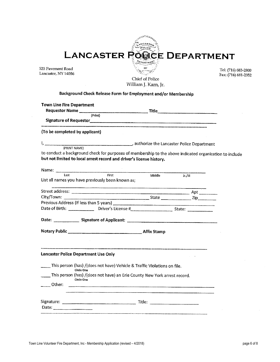|                                                                      | LANCASTER POOCE DEPARTMENT                                                                                                                                                                                                           |            |                     |
|----------------------------------------------------------------------|--------------------------------------------------------------------------------------------------------------------------------------------------------------------------------------------------------------------------------------|------------|---------------------|
|                                                                      |                                                                                                                                                                                                                                      |            |                     |
| 525 Pavement Road                                                    |                                                                                                                                                                                                                                      |            | Tel: (716) 683-2800 |
| Lancaster, NY 14086                                                  | Chief of Police                                                                                                                                                                                                                      |            | Fax: (716) 681-2352 |
|                                                                      | William J. Karn, Jr.                                                                                                                                                                                                                 |            |                     |
|                                                                      | Background Check Release Form for Employment and/or Membership                                                                                                                                                                       |            |                     |
| <b>Town Line Fire Department</b>                                     |                                                                                                                                                                                                                                      |            |                     |
|                                                                      |                                                                                                                                                                                                                                      |            |                     |
|                                                                      | Signature of Requestor<br>Signature of Requestor                                                                                                                                                                                     |            |                     |
| (To be completed by applicant)                                       |                                                                                                                                                                                                                                      |            |                     |
|                                                                      |                                                                                                                                                                                                                                      |            |                     |
|                                                                      |                                                                                                                                                                                                                                      |            |                     |
|                                                                      | to conduct a background check for purposes of membership to the above indicated organization to include                                                                                                                              |            |                     |
| but not limited to local arrest record and driver's license history. |                                                                                                                                                                                                                                      |            |                     |
|                                                                      | Name: <u>Alant Contract Contract Contract Contract Contract Contract Contract Contract Contract Contract Contract Contract Contract Contract Contract Contract Contract Contract Contract Contract Contract Contract Contract Co</u> |            |                     |
|                                                                      |                                                                                                                                                                                                                                      | $Jr$ ./III |                     |
| List all names you have previously been known as;                    |                                                                                                                                                                                                                                      |            |                     |
|                                                                      |                                                                                                                                                                                                                                      |            |                     |
|                                                                      |                                                                                                                                                                                                                                      |            |                     |
|                                                                      |                                                                                                                                                                                                                                      |            |                     |
|                                                                      |                                                                                                                                                                                                                                      |            |                     |
|                                                                      | Date: Signature of Applicant: Campbell Andrew Contract Contract Contract Contract Contract Contract Contract Contract Contract Contract Contract Contract Contract Contract Contract Contract Contract Contract Contract Contr       |            |                     |
|                                                                      |                                                                                                                                                                                                                                      |            |                     |
|                                                                      |                                                                                                                                                                                                                                      |            |                     |
|                                                                      |                                                                                                                                                                                                                                      |            |                     |
| <b>Lancaster Police Department Use Only</b>                          |                                                                                                                                                                                                                                      |            |                     |
| Circle One                                                           | This person (has) /(does not have) Vehicle & Traffic Violations on file.                                                                                                                                                             |            |                     |
|                                                                      | This person (has) /(does not have) an Erie County New York arrest record.                                                                                                                                                            |            |                     |
| <b>Circle One</b><br>Other:                                          |                                                                                                                                                                                                                                      |            |                     |
|                                                                      |                                                                                                                                                                                                                                      |            |                     |
|                                                                      |                                                                                                                                                                                                                                      |            |                     |
|                                                                      |                                                                                                                                                                                                                                      |            |                     |
| Date:                                                                |                                                                                                                                                                                                                                      |            |                     |

 $\bar{ }$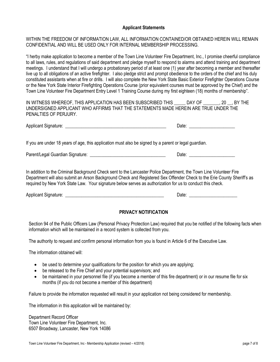#### **Applicant Statements**

### WITHIN THE FREEDOM OF INFORMATION LAW, ALL INFORMATION CONTAINED/OR OBTAINED HEREIN WILL REMAIN CONFIDENTIAL AND WILL BE USED ONLY FOR INTERNAL MEMBERSHIP PROCESSING.

"I herby make application to become a member of the Town Line Volunteer Fire Department, Inc., I promise cheerful compliance to all laws, rules, and regulations of said department and pledge myself to respond to alarms and attend training and department meetings. I understand that I will undergo a probationary period of at least one (1) year after becoming a member and thereafter live up to all obligations of an active firefighter. I also pledge strict and prompt obedience to the orders of the chief and his duly constituted assistants when at fire or drills. I will also complete the New York State Basic Exterior Firefighter Operations Course or the New York State Interior Firefighting Operations Course (prior equivalent courses must be approved by the Chief) and the Town Line Volunteer Fire Department Entry Level 1 Training Course during my first eighteen (18) months of membership".

IN WITNESS WHEREOF, THIS APPLICATION HAS BEEN SUBSCRIBED THIS \_\_\_\_\_ DAY OF \_\_\_\_\_\_\_, 20 \_\_, BY THE UNDERSIGNED APPLICANT WHO AFFIRMS THAT THE STATEMENTS MADE HEREIN ARE TRUE UNDER THE PENALTIES OF PERJURY.

| Applicant<br>$-1.000$<br>ר Sidna. | . |
|-----------------------------------|---|
|-----------------------------------|---|

If you are under 18 years of age, this application must also be signed by a parent or legal guardian.

Parent/Legal Guardian Signature: \_\_\_\_\_\_\_\_\_\_\_\_\_\_\_\_\_\_\_\_\_\_\_\_\_\_\_\_\_\_\_\_\_ Date: \_\_\_\_\_\_\_\_\_\_\_\_\_\_\_\_\_\_\_\_

In addition to the Criminal Background Check sent to the Lancaster Police Department, the Town Line Volunteer Fire Department will also submit an Arson Background Check and Registered Sex Offender Check to the Erie County Sheriff's as required by New York State Law. Your signature below serves as authorization for us to conduct this check.

Applicant Signature: \_\_\_\_\_\_\_\_\_\_\_\_\_\_\_\_\_\_\_\_\_\_\_\_\_\_\_\_\_\_\_\_\_\_\_\_\_\_\_\_\_\_\_ Date: \_\_\_\_\_\_\_\_\_\_\_\_\_\_\_\_\_\_\_\_\_

## **PRIVACY NOTIFICATION**

Section 94 of the Public Officers Law (Personal Privacy Protection Law) required that you be notified of the following facts when information which will be maintained in a record system is collected from you.

The authority to request and confirm personal information from you is found in Article 6 of the Executive Law.

The information obtained will:

- be used to determine your qualifications for the position for which you are applying;
- be released to the Fire Chief and your potential supervisors; and
- be maintained in your personnel file (if you become a member of this fire department) or in our resume file for six months (if you do not become a member of this department)

Failure to provide the information requested will result in your application not being considered for membership.

The information in this application will be maintained by:

Department Record Officer Town Line Volunteer Fire Department, Inc. 6507 Broadway, Lancaster, New York 14086